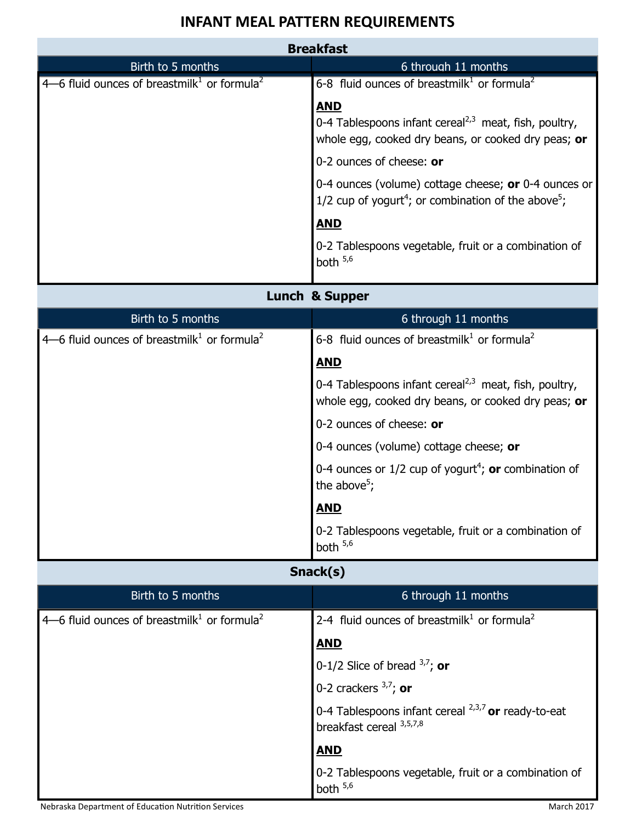## **INFANT MEAL PATTERN REQUIREMENTS**

| <b>Breakfast</b>                                                      |                                                                                                                                     |
|-----------------------------------------------------------------------|-------------------------------------------------------------------------------------------------------------------------------------|
| Birth to 5 months                                                     | 6 through 11 months                                                                                                                 |
| $4-6$ fluid ounces of breastmilk <sup>1</sup> or formula <sup>2</sup> | 6-8 fluid ounces of breastmilk <sup>1</sup> or formula <sup>2</sup>                                                                 |
|                                                                       | <b>AND</b>                                                                                                                          |
|                                                                       | 0-4 Tablespoons infant cereal <sup>2,3</sup> meat, fish, poultry,<br>whole egg, cooked dry beans, or cooked dry peas; or            |
|                                                                       | 0-2 ounces of cheese: or                                                                                                            |
|                                                                       | 0-4 ounces (volume) cottage cheese; or 0-4 ounces or<br>1/2 cup of yogurt <sup>4</sup> ; or combination of the above <sup>5</sup> ; |
|                                                                       | <b>AND</b>                                                                                                                          |
|                                                                       | 0-2 Tablespoons vegetable, fruit or a combination of<br>both $5,6$                                                                  |
| Lunch & Supper                                                        |                                                                                                                                     |
| Birth to 5 months                                                     | 6 through 11 months                                                                                                                 |
| 4–6 fluid ounces of breastmilk <sup>1</sup> or formula <sup>2</sup>   | 6-8 fluid ounces of breastmilk <sup>1</sup> or formula <sup>2</sup>                                                                 |
|                                                                       | <b>AND</b>                                                                                                                          |
|                                                                       | 0-4 Tablespoons infant cereal <sup>2,3</sup> meat, fish, poultry,<br>whole egg, cooked dry beans, or cooked dry peas; or            |
|                                                                       | 0-2 ounces of cheese: or                                                                                                            |
|                                                                       | 0-4 ounces (volume) cottage cheese; or                                                                                              |
|                                                                       | 0-4 ounces or $1/2$ cup of yogurt <sup>4</sup> ; or combination of<br>the above <sup>5</sup> ;                                      |
|                                                                       | <b>AND</b>                                                                                                                          |
|                                                                       | 0-2 Tablespoons vegetable, fruit or a combination of<br>both $5,6$                                                                  |
| Snack(s)                                                              |                                                                                                                                     |
| Birth to 5 months                                                     | 6 through 11 months                                                                                                                 |
| 4–6 fluid ounces of breastmilk <sup>1</sup> or formula <sup>2</sup>   | 2-4 fluid ounces of breastmilk <sup>1</sup> or formula <sup>2</sup>                                                                 |
|                                                                       | <u>AND</u>                                                                                                                          |
|                                                                       | 0-1/2 Slice of bread $3,7$ ; or                                                                                                     |
|                                                                       | 0-2 crackers $3,7$ ; or                                                                                                             |
|                                                                       | 0-4 Tablespoons infant cereal <sup>2,3,7</sup> or ready-to-eat<br>breakfast cereal 3,5,7,8                                          |
|                                                                       | <b>AND</b>                                                                                                                          |
|                                                                       | 0-2 Tablespoons vegetable, fruit or a combination of<br>both $5,6$                                                                  |